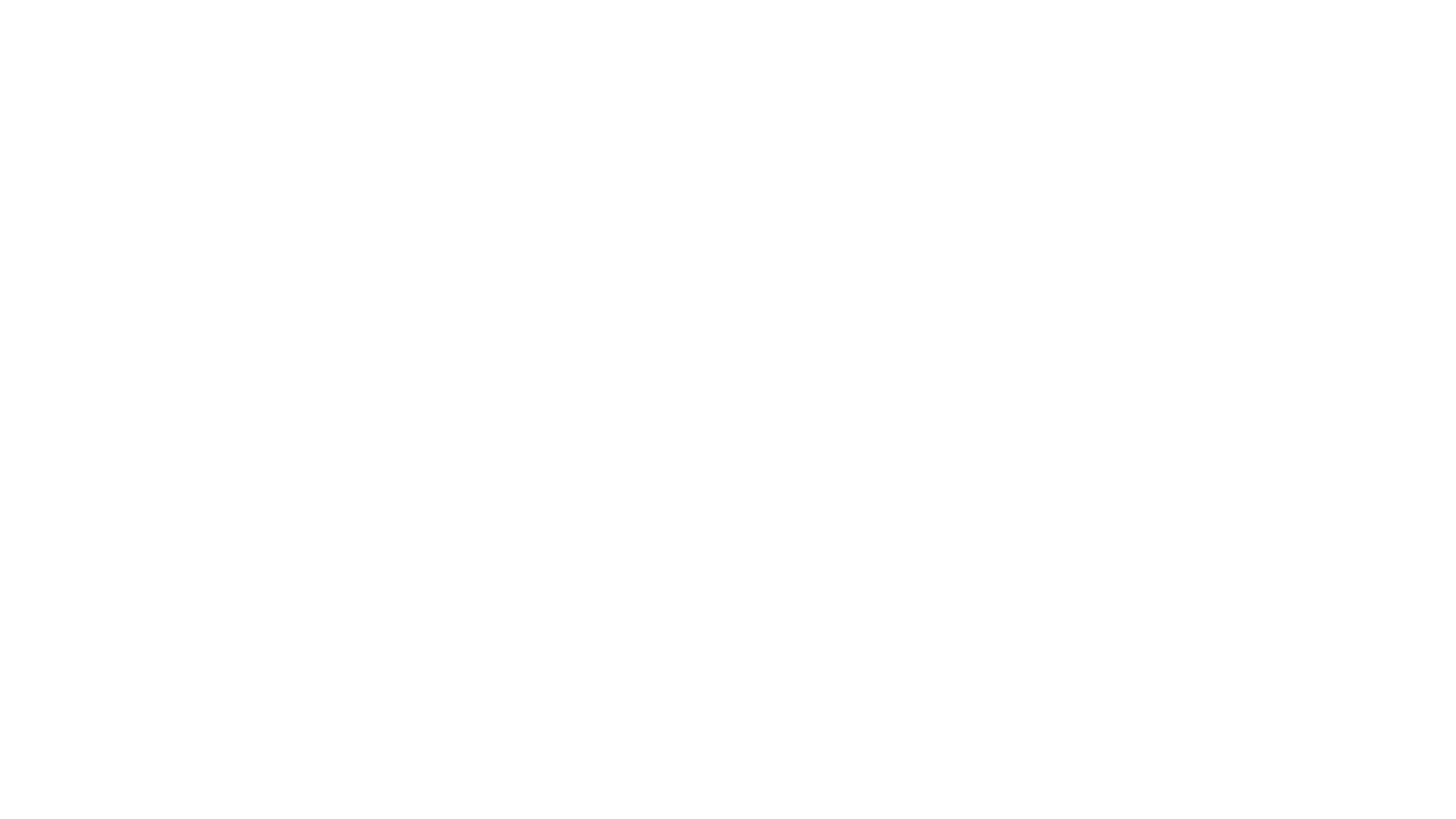

## **Hospital EHR – Medical Staff Newsletter May 2016, Volume 3, Issue 5**

**For questions, comments, or suggestions regarding the EHR or this newsletter, please contact me directly.** Suzanne Wilkerson, MD\_ Medial Director Hospital Clinical Informatics [swilkers@columbia-stmarys.org,](mailto:swilkers@columbia-stmarys.org) 414-326-2519 (office), 414-557-6860 (Pager)

## **Topics this month**

**In-House Support Reminder Hospital Progress Note Changes, 5.17.16 Stop Date/Time on prescriptions Pain Management Protocol, 5.9.16 Undue Exposure to Radiation Initiative and Alert, 5.17.16 Downtime EHR May 16, 12:30-4:30 AM EHR Maintenance and Sepsis Alert, 5.25.16 Tool Bar Link Improvements**

#### **In-House Support Reminder**

**In-house support is available Monday through Friday from 8am to 4pm on both Ozaukee and Milwaukee campuses from Caitlin and Kevin of the Clinical Informatics Team.** They have offices on each campus and can provide both in person as well as over the phone assistance. Please do not hesitate to contact them directly during these hours.

Connect to them directly by dialing Vocera and requesting "**EHR support."**

# **Ozaukee Vocera Phone: 262-243-6707**

#### **Milwaukee Vocera Phone: 414-585-1995**

Real-Time, In-House Support includes:

- Quick 1:1 assistance for help with using the EHR.
- Coaching sessions for EHR workflow and utilization optimization.
- Assistance with logging tickets for identified problems.

If potential needs are identified by other hospital staff members, you may be referred to Caitlin or Kevin. Please be gracious when you are contacted and use these coaching opportunities to enhance your efficient use of the EHR. The support team members are your allies and they want to help you. These interactions are also a good opportunity for sharing your ideas on how to improve the EHR.

**For urgent/emergent EHR technical assistance outside of the above hours, contact the Help Desk at 414-326-2400. When asked for an extension, choose "7" for expedited transfer to a service desk analyst.**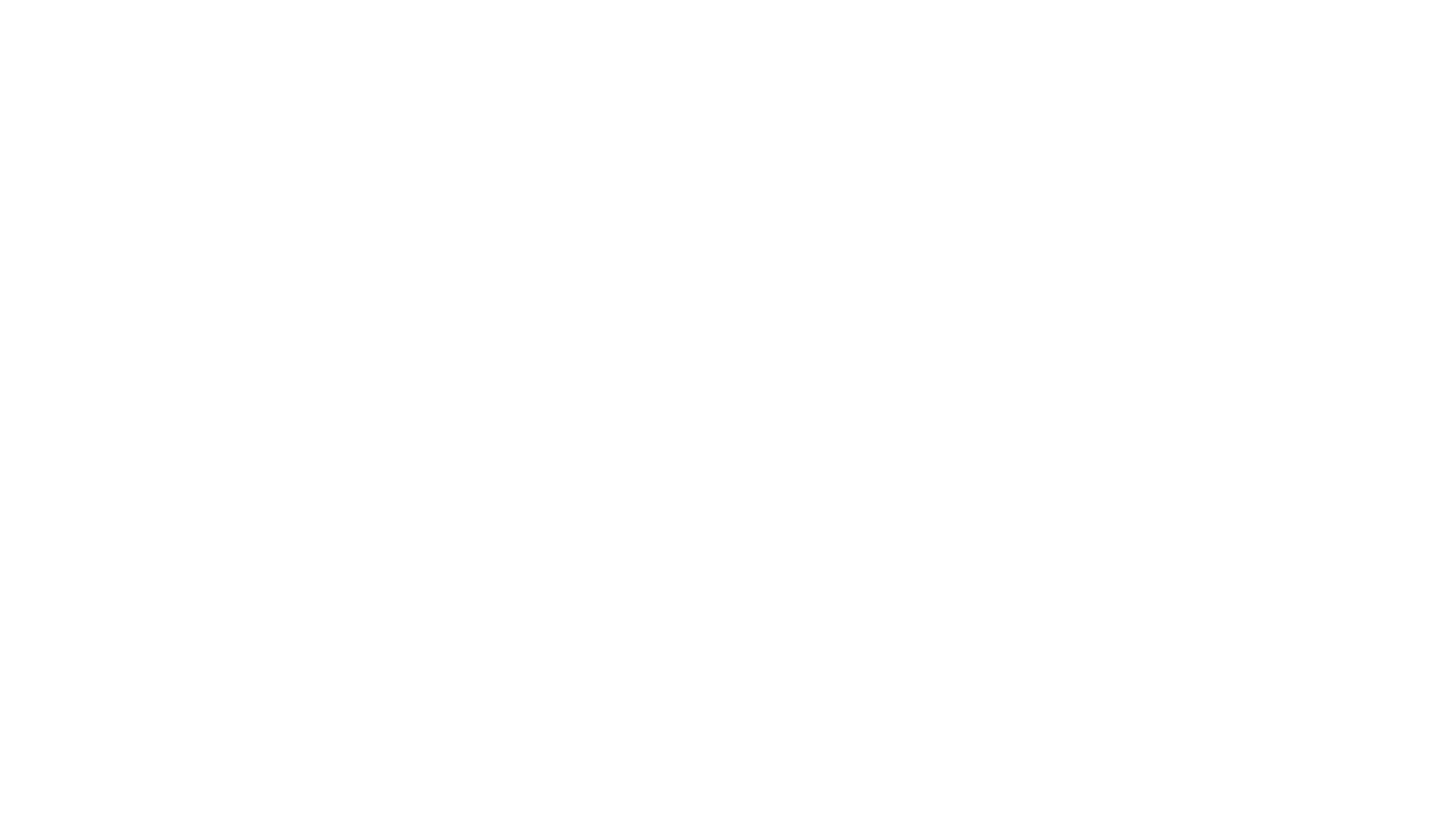## **Hospital Progress Note – Anticipated Discharge Date, 5.17.16**

**Starting 5.17.16 the "Anticipated Discharge Date" in the** *Hospital Progress Note* **template cannot be copiedforward.** You must enter a date each time you use the note. Although there is an option to free text instead of using an exact date, the free text option is for adding additional details and is not meant to replace the date. Case Management and other clinical team members rely on use of the calendar for "Anticipated Discharge Date." Even if you are not sure of the discharge date, choose a date based on your best estimation

If you are not the patient's attending physician, you may choose the new option, "Decision to be determined by the attending physician."

### **Stop Date/Time on prescriptions**

For non-maintenance medication prescriptions (such as antibiotics, pain medications, and prednisone,) be sure to complete Stop Date/Time in the Prescription. The EHR will then automatically move the medication to inactive category from active at that Date/Time. This improves the accuracy of the patient's medication list when the patient has return visits to both the hospital and clinics.

| Send To: CSM OZAUKEE PHCY (13133 N PORT WASHINGTON) ▼<br> ⊻ Details for  amoxicillin-clavulanate (amoxicillin-clavulanat |                                                    |                             |              |                                |                                                  |    |           |                  |  |
|--------------------------------------------------------------------------------------------------------------------------|----------------------------------------------------|-----------------------------|--------------|--------------------------------|--------------------------------------------------|----|-----------|------------------|--|
| Diagnoses                                                                                                                |                                                    |                             |              |                                |                                                  |    |           |                  |  |
|                                                                                                                          | Dose                                               | *Route of Admini *Frequency |              | Duration                       | *Dispense $\left  \frac{30}{100} \right $ Refill |    |           |                  |  |
|                                                                                                                          | $\bigcirc$ 1 tab(s)                                | PO (oral)                   | $\Box$ q12hr | $\blacktriangleright$ 7 day(s) | $14$ tab(s)                                      | ●◦ | the Solid | $  $ $   \times$ |  |
| Dosing Ingredient is amoxicillin (as trihydrate)                                                                         |                                                    |                             |              |                                |                                                  |    |           |                  |  |
|                                                                                                                          | Samples:<br>$\checkmark$                           |                             |              |                                |                                                  |    |           |                  |  |
|                                                                                                                          | 승내<br>*Stop Date/Time: 05 13/2016<br>1413<br>≑ CDT |                             |              |                                |                                                  |    |           |                  |  |

## **CSM Pharmacy Pain Management Protocol, 5.9.16**

Starting 5.9.16, all opiod medications will have a reference link when you search for the medication. You can use this link to view the CSM Pain Management Protocol. This link will provide quick access to the document to assist you in treating your patient. The document provides extensive information on opiods in an easy to read format. Information includes dosing, duration of action, and side effects as well as other facts including information related to switching from one opioid to another. Please see a copy of this document attached.

To access the document from the EHR click on the link next to the medication name.

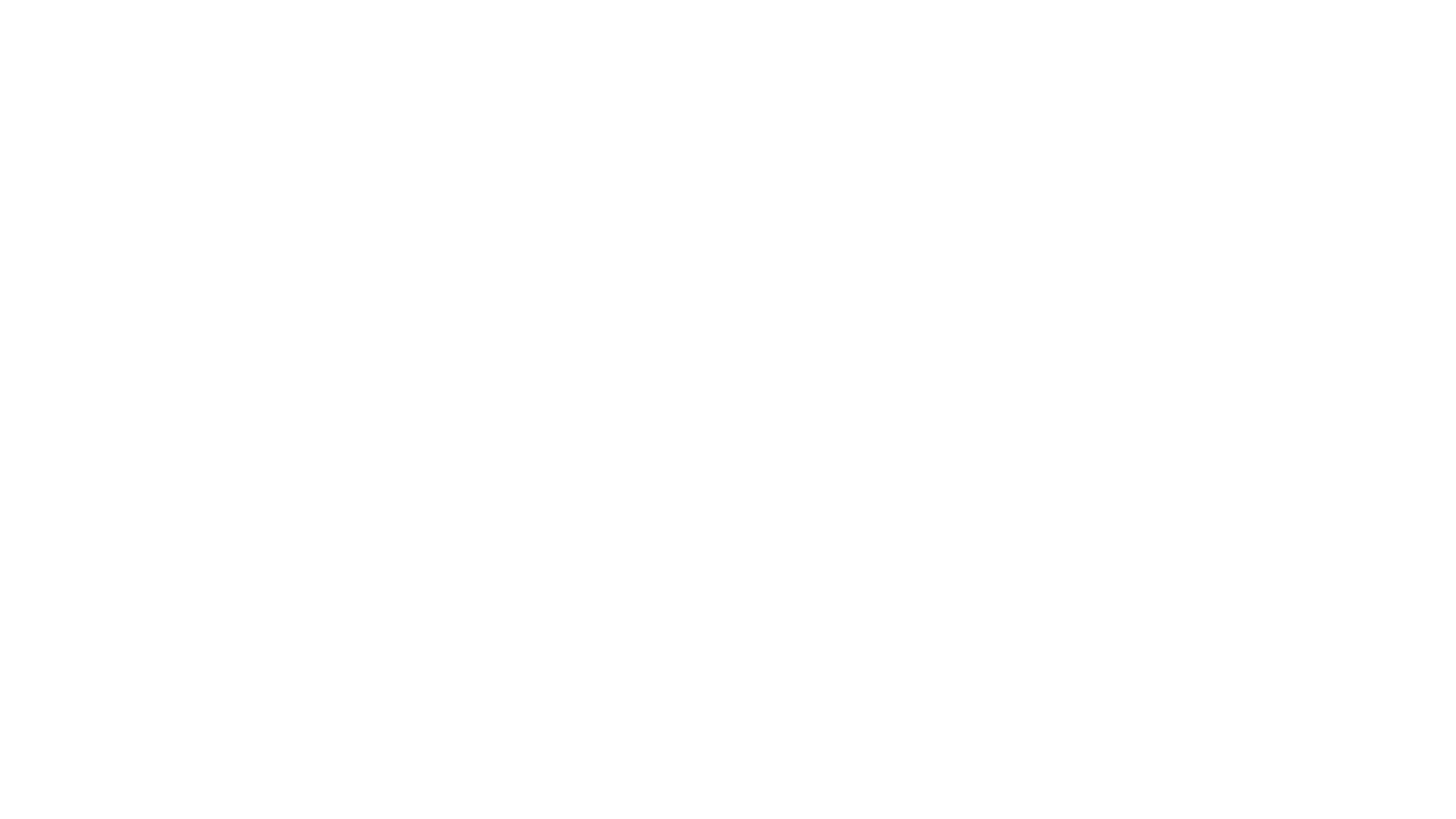## **Undue Exposure to Radiation Initiative and Alert, 5.17.16**

Recently, Ascension Health has established an initiative with the objective of reducing clinically unnecessary CT radiation exposure by 20% in two clinical situations.

- Ordering a Thorax CT exam on adults to rule out Pulmonary Embolism
- Ordering an Abdomen/Pelvis CT exam on pediatric patients to rule out Appendicitis

This initiative is based on recommendations from the American College of Radiology (ACR).

Clinical Decision Support (CDS) alerts will be available starting 5.17.16. These alerts have been created to guide Providers when ordering imaging for the above clinical situations.

Please read the attached communication and job aide for further details.

### **Downtime EHR May 16, 12:30-4:30 AM**

Due to a software upgrade, Cerner EHR will be unavailable from 12:30 a.m. - 4:30 a.m. on 5.16.16.

- 1. Patient Data Acquisition
	- 24/7 computers available on each unit. These are cycled every 5 minutes and will make available all data up until at least 5 minutes *prior to downtime*.
	- Tests resulted *during the downtime* will be available on paper in the patient's paper chart. If not available when needed, call the appropriate department.
- 2. Documentation with Dictation will be forwarded to message center for electronic signature after downtime
	- $-H&P-1100$
	- Internal Medicine/Family Medicine Consult 1400
	- Progress Note (for cross coverage) *1500*
- 3. Orders need to manually date and sign
	- Individual orders on paper order sheet handwritten on lined orders paper
	- Paper order sets can be accessed from desktops via this link.



The paper sets are not as up to date as the electronic order sets so please scrutinize for accuracy if used.

- 4. Medication Reconciliation need to manually date and sign
	- RN or pharmacist will complete medication history on paper form
	- Physician will "reconcile" the medications on the same form by indicated if meds should be continued or not. Space to indicate any necessary changes in dosing available.

## **EHR Maintenance and Sepsis Alert, 5.25.16**

On 5.26.16 there will be about 4 hours of EHR system maintenance activities performed that will impact the Sepsis alerts. This will cause a delay in the alerts firing. The alerts may be delayed up to 40 minutes. Expeditious response to the alerts is always imperative but will be even more so due to this delay.

Page | 3